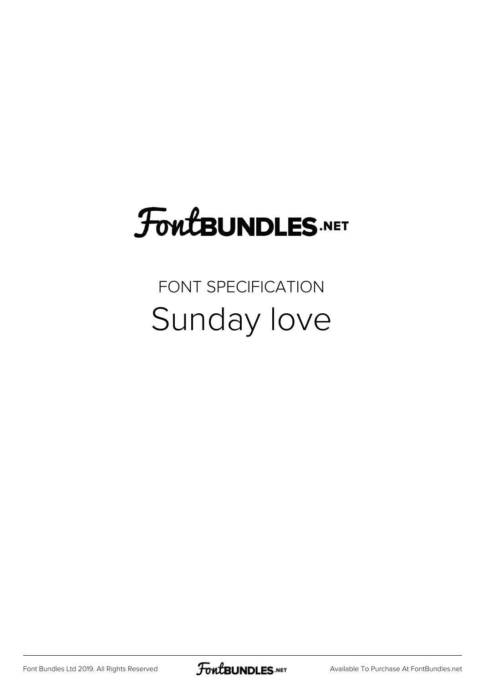### FoutBUNDLES.NET

FONT SPECIFICATION Sunday love

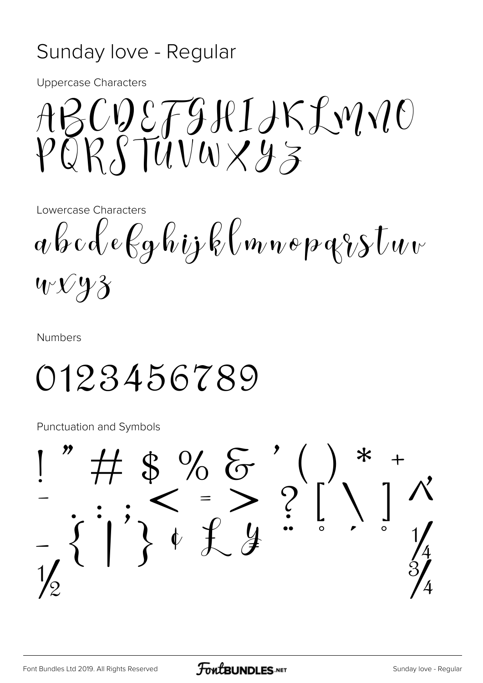#### Sunday love - Regular

**Uppercase Characters** 

ABCDEFJHIJKLMNO

Lowercase Characters

 $a\beta c\alpha \ell e\ell g\ell \omega j\ell \omega m\omega \rho q\gamma s\tau \omega v$  $W\mathcal{N}Y3$ 

**Numbers** 

#### 0123456789

**Punctuation and Symbols**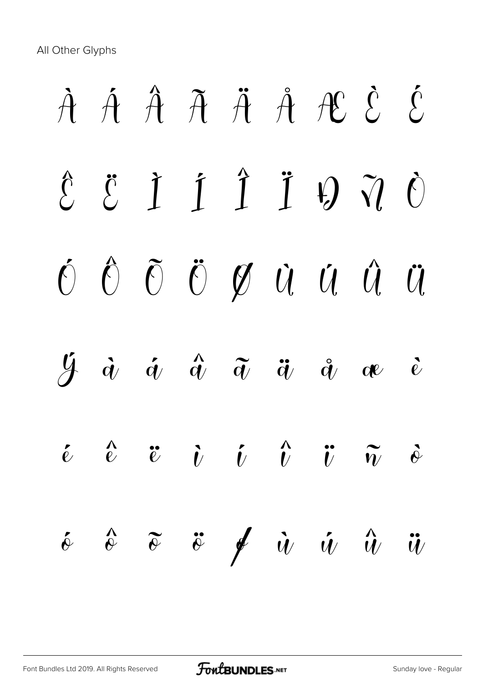All Other Glyphs

# À Á Â Ã Ä Å Æ È É  $\hat{E}$   $\ddot{E}$   $\dot{I}$   $\ddot{I}$   $\ddot{H}$   $\ddot{Q}$   $\ddot{Q}$ Ó Ô Õ Ö Ø Ù Ú Û Ü  $\begin{array}{ccccc} \dot {\mathcal{Y}} & \dot {\alpha} & \dot {\alpha} & \dot {\alpha} & \ddot {\alpha} & \ddot {\alpha} & \dot {\alpha} & \dot {\alpha} & \dot {\alpha} \end{array}$  $\begin{array}{ccccc} \acute{e} & \acute{e} & \acute{e} & \acute{e} & \acute{e} & \acute{e} & \acute{e} & \acute{e} & \end{array}$  $\delta$   $\delta$   $\tilde{v}$   $\neq$   $\dot{u}$   $\dot{u}$   $\hat{u}$   $\ddot{u}$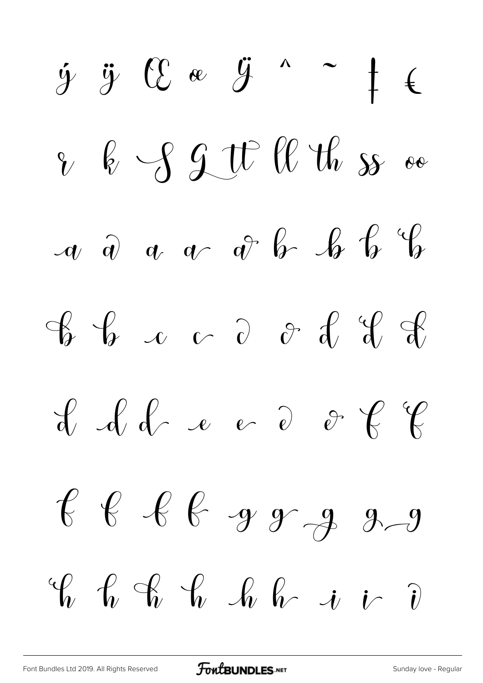$\dot{y}$   $\ddot{y}$   $C$   $\alpha$   $\ddot{y}$   $\alpha$   $\alpha$   $\dagger$   $\epsilon$ & b S J W W th s as  $\alpha$   $\hat{a}$   $\alpha$   $\alpha$   $\hat{a}$   $\hat{b}$   $\hat{b}$   $\hat{c}$   $\hat{d}$  $\begin{array}{ccccccccc}\nG & G & G & G & G & G & G & G\n\end{array}$  $\begin{array}{ccccccccc}\n\mathcal{L} & \mathcal{L} & \mathcal{L} & \mathcal{L} & \mathcal{L} & \mathcal{L} & \mathcal{L} & \mathcal{L} & \mathcal{L} & \mathcal{L} & \mathcal{L} & \mathcal{L} & \mathcal{L} & \mathcal{L} & \mathcal{L} & \mathcal{L} & \mathcal{L} & \mathcal{L} & \mathcal{L} & \mathcal{L} & \mathcal{L} & \mathcal{L} & \mathcal{L} & \mathcal{L} & \mathcal{L} & \mathcal{L} & \mathcal{L} & \mathcal{L} & \mathcal{L} & \mathcal{L} &$  $f$   $f$   $f$   $g$   $g$   $g$  $\begin{array}{ccccccccc}\n\mathcal{C} & \mathcal{C} & \mathcal{C} & \mathcal{C} & \mathcal{C} & \mathcal{C} & \mathcal{C} & \mathcal{C}\n\end{array}$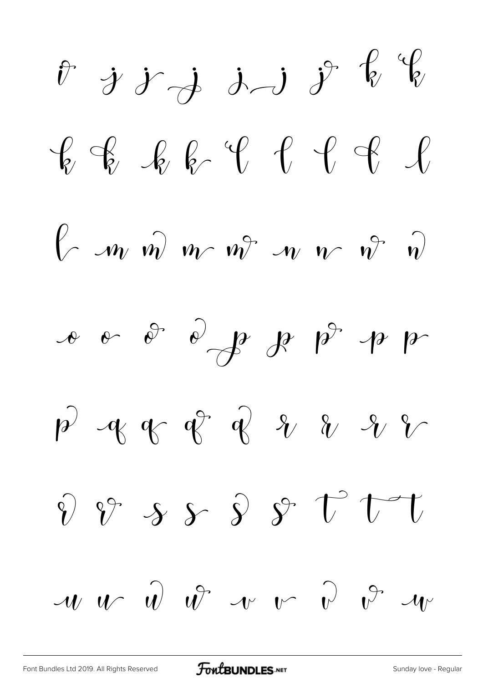$\hat{v}$  j j j j  $\hat{f}$  y  $\begin{array}{ccccccccc} \mathcal{C} & \mathcal{C} & \mathcal{C} & \mathcal{C} & \mathcal{C} & \mathcal{C} & \mathcal{C} & \mathcal{C} & \mathcal{C} & \mathcal{C} & \mathcal{C} & \mathcal{C} & \mathcal{C} & \mathcal{C} & \mathcal{C} & \mathcal{C} & \mathcal{C} & \mathcal{C} & \mathcal{C} & \mathcal{C} & \mathcal{C} & \mathcal{C} & \mathcal{C} & \mathcal{C} & \mathcal{C} & \mathcal{C} & \mathcal{C} & \mathcal{C} & \mathcal{C} & \mathcal{C} & \$  $\int$   $m \hat{w}$   $m \hat{v}$   $m \hat{v}$   $m \hat{v}$  $\int_{\mathbb{R}} \rho \circ \int_{\mathbb{R}} \rho \circ \int_{\mathbb{R}} \rho \circ \int_{\mathbb{R}} \rho \circ \int_{\mathbb{R}} \rho$  $p^2$  of of of  $p^2$  $\hat{v}$   $\hat{v}$  s  $\hat{v}$   $\hat{y}$   $\hat{v}$  $\mathcal{W}$   $\hat{w}$   $\hat{w}$   $\hat{w}$   $\hat{v}$   $\hat{v}$   $\hat{v}$   $\hat{w}$